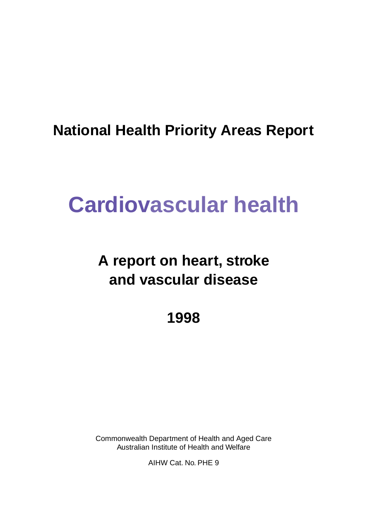# **National Health Priority Areas Report**

# **Cardiovascular health**

# **A report on heart, stroke and vascular disease**

**1998**

Commonwealth Department of Health and Aged Care Australian Institute of Health and Welfare

AIHW Cat. No. PHE 9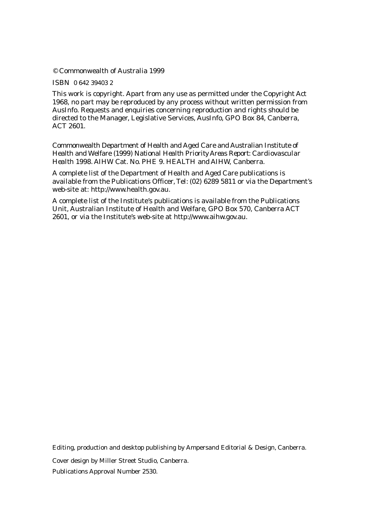© Commonwealth of Australia 1999

ISBN 0 642 39403 2

This work is copyright. Apart from any use as permitted under the *Copyright Act 1968*, no part may be reproduced by any process without written permission from AusInfo. Requests and enquiries concerning reproduction and rights should be directed to the Manager, Legislative Services, AusInfo, GPO Box 84, Canberra, ACT 2601.

Commonwealth Department of Health and Aged Care and Australian Institute of Health and Welfare (1999) *National Health Priority Areas Report: Cardiovascular Health 1998*. AIHW Cat. No. PHE 9. HEALTH and AIHW, Canberra.

A complete list of the Department of Health and Aged Care publications is available from the Publications Officer, Tel: (02) 6289 5811 or via the Department's web-site at: http://www.health.gov.au.

A complete list of the Institute's publications is available from the Publications Unit, Australian Institute of Health and Welfare, GPO Box 570, Canberra ACT 2601, or via the Institute's web-site at http://www.aihw.gov.au.

Editing, production and desktop publishing by Ampersand Editorial & Design, Canberra.

Cover design by Miller Street Studio, Canberra.

Publications Approval Number 2530.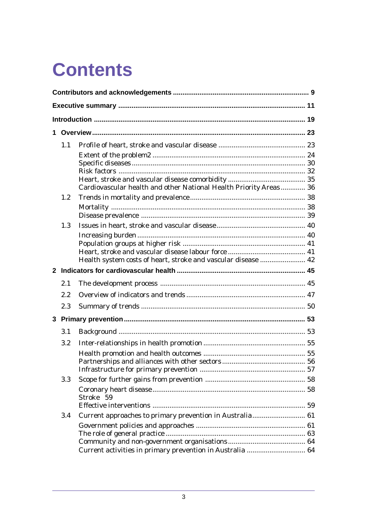# **Contents**

| 1              |         |                                                                   |  |
|----------------|---------|-------------------------------------------------------------------|--|
|                | 1.1     |                                                                   |  |
|                |         |                                                                   |  |
|                |         |                                                                   |  |
|                |         |                                                                   |  |
|                |         |                                                                   |  |
|                |         | Cardiovascular health and other National Health Priority Areas 36 |  |
|                | $1.2\,$ |                                                                   |  |
|                |         |                                                                   |  |
|                |         |                                                                   |  |
|                | 1.3     |                                                                   |  |
|                |         |                                                                   |  |
|                |         |                                                                   |  |
|                |         |                                                                   |  |
|                |         | Health system costs of heart, stroke and vascular disease  42     |  |
| $\mathbf{2}$   |         |                                                                   |  |
|                | 2.1     |                                                                   |  |
|                | 2.2     |                                                                   |  |
|                | 2.3     |                                                                   |  |
| $3\phantom{a}$ |         |                                                                   |  |
|                | 3.1     |                                                                   |  |
|                | 3.2     |                                                                   |  |
|                |         |                                                                   |  |
|                |         |                                                                   |  |
|                |         |                                                                   |  |
|                | 3.3     |                                                                   |  |
|                |         | Stroke 59                                                         |  |
|                |         |                                                                   |  |
|                | 3.4     |                                                                   |  |
|                |         |                                                                   |  |
|                |         |                                                                   |  |
|                |         |                                                                   |  |
|                |         | Current activities in primary prevention in Australia  64         |  |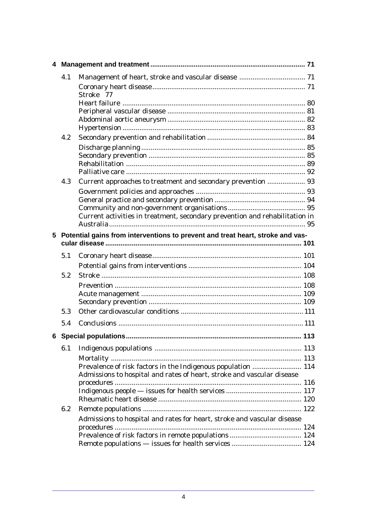|   | 4.1 |                                                                                |  |
|---|-----|--------------------------------------------------------------------------------|--|
|   |     | Stroke 77                                                                      |  |
|   |     |                                                                                |  |
|   |     |                                                                                |  |
|   |     |                                                                                |  |
|   |     |                                                                                |  |
|   | 4.2 |                                                                                |  |
|   |     |                                                                                |  |
|   |     |                                                                                |  |
|   |     |                                                                                |  |
|   | 4.3 | Current approaches to treatment and secondary prevention  93                   |  |
|   |     |                                                                                |  |
|   |     |                                                                                |  |
|   |     |                                                                                |  |
|   |     | Current activities in treatment, secondary prevention and rehabilitation in    |  |
| 5 |     | Potential gains from interventions to prevent and treat heart, stroke and vas- |  |
|   | 5.1 |                                                                                |  |
|   |     |                                                                                |  |
|   | 5.2 |                                                                                |  |
|   |     |                                                                                |  |
|   |     |                                                                                |  |
|   |     |                                                                                |  |
|   | 5.3 |                                                                                |  |
|   | 5.4 |                                                                                |  |
|   |     |                                                                                |  |
|   | 6.1 |                                                                                |  |
|   |     |                                                                                |  |
|   |     | Prevalence of risk factors in the Indigenous population  114                   |  |
|   |     | Admissions to hospital and rates of heart, stroke and vascular disease         |  |
|   |     |                                                                                |  |
|   |     |                                                                                |  |
|   | 6.2 |                                                                                |  |
|   |     | Admissions to hospital and rates for heart, stroke and vascular disease        |  |
|   |     |                                                                                |  |
|   |     |                                                                                |  |
|   |     |                                                                                |  |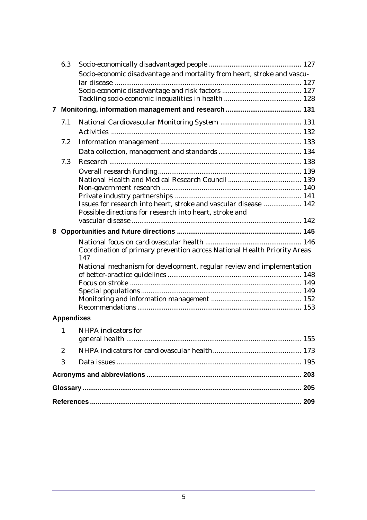|                                                                         | 6.3                                                                   |                                                                                 |  |
|-------------------------------------------------------------------------|-----------------------------------------------------------------------|---------------------------------------------------------------------------------|--|
| Socio-economic disadvantage and mortality from heart, stroke and vascu- |                                                                       |                                                                                 |  |
|                                                                         |                                                                       |                                                                                 |  |
|                                                                         |                                                                       |                                                                                 |  |
|                                                                         |                                                                       |                                                                                 |  |
| $\mathbf{7}$                                                            |                                                                       |                                                                                 |  |
|                                                                         | 7.1                                                                   |                                                                                 |  |
|                                                                         |                                                                       |                                                                                 |  |
|                                                                         | 7.2                                                                   |                                                                                 |  |
|                                                                         |                                                                       |                                                                                 |  |
|                                                                         | 7.3                                                                   |                                                                                 |  |
|                                                                         |                                                                       |                                                                                 |  |
|                                                                         |                                                                       |                                                                                 |  |
|                                                                         |                                                                       |                                                                                 |  |
|                                                                         |                                                                       |                                                                                 |  |
|                                                                         |                                                                       | Issues for research into heart, stroke and vascular disease  142                |  |
|                                                                         |                                                                       | Possible directions for research into heart, stroke and                         |  |
|                                                                         |                                                                       |                                                                                 |  |
| 8                                                                       |                                                                       |                                                                                 |  |
|                                                                         |                                                                       |                                                                                 |  |
|                                                                         |                                                                       | Coordination of primary prevention across National Health Priority Areas<br>147 |  |
|                                                                         | National mechanism for development, regular review and implementation |                                                                                 |  |
|                                                                         |                                                                       |                                                                                 |  |
|                                                                         |                                                                       |                                                                                 |  |
|                                                                         |                                                                       |                                                                                 |  |
|                                                                         |                                                                       |                                                                                 |  |
|                                                                         |                                                                       |                                                                                 |  |
|                                                                         | <b>Appendixes</b>                                                     |                                                                                 |  |
|                                                                         | $\mathbf{1}$                                                          | <b>NHPA</b> indicators for                                                      |  |
|                                                                         |                                                                       |                                                                                 |  |
|                                                                         | $\overline{2}$                                                        |                                                                                 |  |
|                                                                         | 3                                                                     |                                                                                 |  |
|                                                                         |                                                                       |                                                                                 |  |
|                                                                         |                                                                       |                                                                                 |  |
|                                                                         |                                                                       |                                                                                 |  |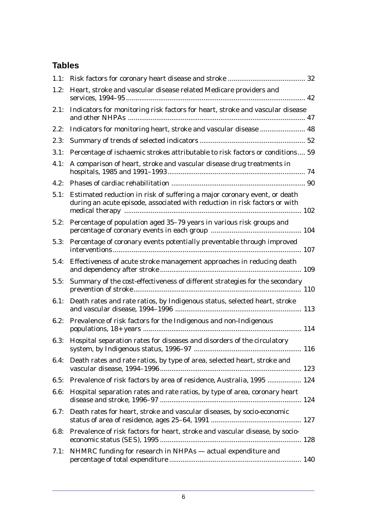# **Tables**

| 1.1: |                                                                                                                                                         |  |
|------|---------------------------------------------------------------------------------------------------------------------------------------------------------|--|
| 1.2: | Heart, stroke and vascular disease related Medicare providers and                                                                                       |  |
| 2.1: | Indicators for monitoring risk factors for heart, stroke and vascular disease                                                                           |  |
| 2.2: | Indicators for monitoring heart, stroke and vascular disease  48                                                                                        |  |
| 2.3: |                                                                                                                                                         |  |
| 3.1: | Percentage of ischaemic strokes attributable to risk factors or conditions 59                                                                           |  |
| 4.1: | A comparison of heart, stroke and vascular disease drug treatments in                                                                                   |  |
| 4.2: |                                                                                                                                                         |  |
| 5.1: | Estimated reduction in risk of suffering a major coronary event, or death<br>during an acute episode, associated with reduction in risk factors or with |  |
| 5.2: | Percentage of population aged 35-79 years in various risk groups and                                                                                    |  |
| 5.3: | Percentage of coronary events potentially preventable through improved                                                                                  |  |
| 5.4: | Effectiveness of acute stroke management approaches in reducing death                                                                                   |  |
| 5.5: | Summary of the cost-effectiveness of different strategies for the secondary                                                                             |  |
| 6.1: | Death rates and rate ratios, by Indigenous status, selected heart, stroke                                                                               |  |
| 6.2: | Prevalence of risk factors for the Indigenous and non-Indigenous                                                                                        |  |
| 6.3: | Hospital separation rates for diseases and disorders of the circulatory                                                                                 |  |
| 6.4: | Death rates and rate ratios, by type of area, selected heart, stroke and                                                                                |  |
| 6.5: | Prevalence of risk factors by area of residence, Australia, 1995  124                                                                                   |  |
| 6.6: | Hospital separation rates and rate ratios, by type of area, coronary heart                                                                              |  |
| 6.7: | Death rates for heart, stroke and vascular diseases, by socio-economic                                                                                  |  |
| 6.8: | Prevalence of risk factors for heart, stroke and vascular disease, by socio-                                                                            |  |
| 7.1: | NHMRC funding for research in NHPAs - actual expenditure and                                                                                            |  |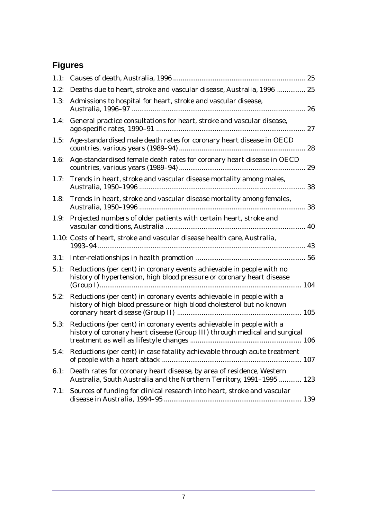# **Figures**

| 1.1: |                                                                                                                                                    |    |
|------|----------------------------------------------------------------------------------------------------------------------------------------------------|----|
| 1.2: | Deaths due to heart, stroke and vascular disease, Australia, 1996  25                                                                              |    |
| 1.3: | Admissions to hospital for heart, stroke and vascular disease,                                                                                     |    |
| 1.4: | General practice consultations for heart, stroke and vascular disease,                                                                             |    |
| 1.5: | Age-standardised male death rates for coronary heart disease in OECD                                                                               |    |
| 1.6: | Age-standardised female death rates for coronary heart disease in OECD                                                                             |    |
| 1.7: | Trends in heart, stroke and vascular disease mortality among males,                                                                                | 38 |
| 1.8: | Trends in heart, stroke and vascular disease mortality among females,                                                                              |    |
| 1.9: | Projected numbers of older patients with certain heart, stroke and                                                                                 |    |
|      | 1.10: Costs of heart, stroke and vascular disease health care, Australia,                                                                          |    |
|      |                                                                                                                                                    |    |
| 5.1: | Reductions (per cent) in coronary events achievable in people with no<br>history of hypertension, high blood pressure or coronary heart disease    |    |
| 5.2: | Reductions (per cent) in coronary events achievable in people with a<br>history of high blood pressure or high blood cholesterol but no known      |    |
| 5.3: | Reductions (per cent) in coronary events achievable in people with a<br>history of coronary heart disease (Group III) through medical and surgical |    |
| 5.4: | Reductions (per cent) in case fatality achievable through acute treatment                                                                          |    |
| 6.1: | Death rates for coronary heart disease, by area of residence, Western<br>Australia, South Australia and the Northern Territory, 1991-1995  123     |    |
| 7.1: | Sources of funding for clinical research into heart, stroke and vascular                                                                           |    |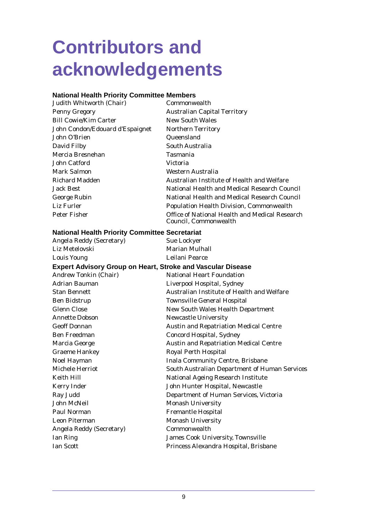# <span id="page-8-0"></span>**Contributors and acknowledgements**

## **National Health Priority Committee Members**

| Judith Whitworth (Chair)                              | Commonwealth                                                            |
|-------------------------------------------------------|-------------------------------------------------------------------------|
| Penny Gregory                                         | <b>Australian Capital Territory</b>                                     |
| <b>Bill Cowie/Kim Carter</b>                          | <b>New South Wales</b>                                                  |
| John Condon/Edouard d'Espaignet                       | <b>Northern Territory</b>                                               |
| John O'Brien                                          | Queensland                                                              |
| David Filby                                           | South Australia                                                         |
| Mercia Bresnehan                                      | <b>Tasmania</b>                                                         |
| John Catford                                          | Victoria                                                                |
| Mark Salmon                                           | Western Australia                                                       |
| Richard Madden                                        | Australian Institute of Health and Welfare                              |
| Jack Best                                             | National Health and Medical Research Council                            |
| George Rubin                                          | National Health and Medical Research Council                            |
| Liz Furler                                            | <b>Population Health Division, Commonwealth</b>                         |
| Peter Fisher                                          | Office of National Health and Medical Research<br>Council, Commonwealth |
| <b>National Health Priority Committee Secretariat</b> |                                                                         |
| Angela Reddy (Secretary)                              | <b>Sue Lockyer</b>                                                      |
| Liz Metelovski                                        | <b>Marian Mulhall</b>                                                   |
| Louis Young                                           | Leilani Pearce                                                          |

#### **Expert Advisory Group on Heart, Stroke and Vascular Disease**

| <b>Andrew Tonkin (Chair)</b>    | <b>National Heart Foundation</b>                     |
|---------------------------------|------------------------------------------------------|
| <b>Adrian Bauman</b>            | Liverpool Hospital, Sydney                           |
| <b>Stan Bennett</b>             | Australian Institute of Health and Welfare           |
| <b>Ben Bidstrup</b>             | <b>Townsville General Hospital</b>                   |
| <b>Glenn Close</b>              | <b>New South Wales Health Department</b>             |
| <b>Annette Dobson</b>           | <b>Newcastle University</b>                          |
| <b>Geoff Donnan</b>             | <b>Austin and Repatriation Medical Centre</b>        |
| <b>Ben Freedman</b>             | <b>Concord Hospital, Sydney</b>                      |
| Marcia George                   | <b>Austin and Repatriation Medical Centre</b>        |
| <b>Graeme Hankey</b>            | <b>Royal Perth Hospital</b>                          |
| Noel Hayman                     | <b>Inala Community Centre, Brisbane</b>              |
| Michele Herriot                 | <b>South Australian Department of Human Services</b> |
| Keith Hill                      | <b>National Ageing Research Institute</b>            |
| <b>Kerry Inder</b>              | John Hunter Hospital, Newcastle                      |
| Ray Judd                        | Department of Human Services, Victoria               |
| <b>John McNeil</b>              | <b>Monash University</b>                             |
| Paul Norman                     | <b>Fremantle Hospital</b>                            |
| <b>Leon Piterman</b>            | <b>Monash University</b>                             |
| <b>Angela Reddy (Secretary)</b> | Commonwealth                                         |
| Ian Ring                        | James Cook University, Townsville                    |
| <b>Ian Scott</b>                | Princess Alexandra Hospital, Brisbane                |
|                                 |                                                      |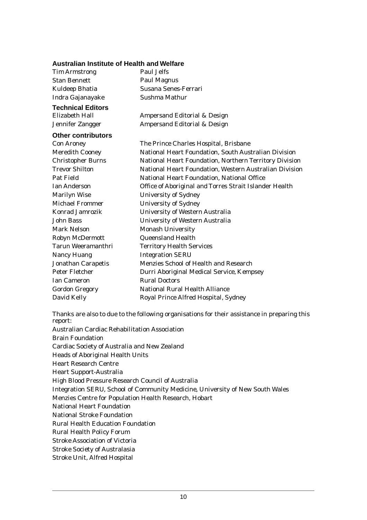#### **Australian Institute of Health and Welfare**

| <b>Tim Armstrong</b>      | Paul Jelfs                                             |
|---------------------------|--------------------------------------------------------|
| <b>Stan Bennett</b>       | <b>Paul Magnus</b>                                     |
| Kuldeep Bhatia            | Susana Senes-Ferrari                                   |
| Indra Gajanayake          | Sushma Mathur                                          |
| <b>Technical Editors</b>  |                                                        |
| Elizabeth Hall            | Ampersand Editorial & Design                           |
| Jennifer Zangger          | <b>Ampersand Editorial &amp; Design</b>                |
| <b>Other contributors</b> |                                                        |
| <b>Con Aroney</b>         | The Prince Charles Hospital, Brisbane                  |
| <b>Meredith Cooney</b>    | National Heart Foundation, South Australian Division   |
| <b>Christopher Burns</b>  | National Heart Foundation, Northern Territory Division |
| <b>Trevor Shilton</b>     | National Heart Foundation, Western Australian Division |
| Pat Field                 | National Heart Foundation, National Office             |
| <b>Ian Anderson</b>       | Office of Aboriginal and Torres Strait Islander Health |
| <b>Marilyn Wise</b>       | <b>University of Sydney</b>                            |
| <b>Michael Frommer</b>    | <b>University of Sydney</b>                            |
| <b>Konrad Jamrozik</b>    | <b>University of Western Australia</b>                 |
| John Bass                 | <b>University of Western Australia</b>                 |
| <b>Mark Nelson</b>        | <b>Monash University</b>                               |
| Robyn McDermott           | <b>Queensland Health</b>                               |
| <b>Tarun Weeramanthri</b> | <b>Territory Health Services</b>                       |
| <b>Nancy Huang</b>        | <b>Integration SERU</b>                                |
| <b>Jonathan Carapetis</b> | Menzies School of Health and Research                  |
| Peter Fletcher            | Durri Aboriginal Medical Service, Kempsey              |
| <b>Ian Cameron</b>        | <b>Rural Doctors</b>                                   |
| <b>Gordon Gregory</b>     | <b>National Rural Health Alliance</b>                  |
| David Kelly               | Royal Prince Alfred Hospital, Sydney                   |

Thanks are also to due to the following organisations for their assistance in preparing this report:

Australian Cardiac Rehabilitation Association Brain Foundation Cardiac Society of Australia and New Zealand Heads of Aboriginal Health Units Heart Research Centre Heart Support-Australia High Blood Pressure Research Council of Australia Integration SERU, School of Community Medicine, University of New South Wales Menzies Centre for Population Health Research, Hobart National Heart Foundation National Stroke Foundation Rural Health Education Foundation Rural Health Policy Forum Stroke Association of Victoria Stroke Society of Australasia Stroke Unit, Alfred Hospital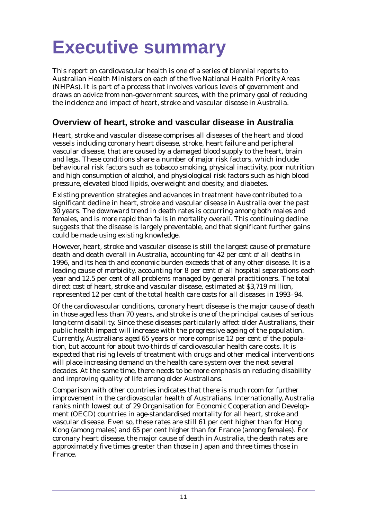<span id="page-10-0"></span>This report on cardiovascular health is one of a series of biennial reports to Australian Health Ministers on each of the five National Health Priority Areas (NHPAs). It is part of a process that involves various levels of government and draws on advice from non-government sources, with the primary goal of reducing the incidence and impact of heart, stroke and vascular disease in Australia.

# **Overview of heart, stroke and vascular disease in Australia**

Heart, stroke and vascular disease comprises all diseases of the heart and blood vessels including coronary heart disease, stroke, heart failure and peripheral vascular disease, that are caused by a damaged blood supply to the heart, brain and legs. These conditions share a number of major risk factors, which include behavioural risk factors such as tobacco smoking, physical inactivity, poor nutrition and high consumption of alcohol, and physiological risk factors such as high blood pressure, elevated blood lipids, overweight and obesity, and diabetes.

Existing prevention strategies and advances in treatment have contributed to a significant decline in heart, stroke and vascular disease in Australia over the past 30 years. The downward trend in death rates is occurring among both males and females, and is more rapid than falls in mortality overall. This continuing decline suggests that the disease is largely preventable, and that significant further gains could be made using existing knowledge.

However, heart, stroke and vascular disease is still the largest cause of premature death and death overall in Australia, accounting for 42 per cent of all deaths in 1996, and its health and economic burden exceeds that of any other disease. It is a leading cause of morbidity, accounting for 8 per cent of all hospital separations each year and 12.5 per cent of all problems managed by general practitioners. The total direct cost of heart, stroke and vascular disease, estimated at \$3,719 million, represented 12 per cent of the total health care costs for all diseases in 1993–94.

Of the cardiovascular conditions, coronary heart disease is the major cause of death in those aged less than 70 years, and stroke is one of the principal causes of serious long-term disability. Since these diseases particularly affect older Australians, their public health impact will increase with the progressive ageing of the population. Currently, Australians aged 65 years or more comprise 12 per cent of the population, but account for about two-thirds of cardiovascular health care costs. It is expected that rising levels of treatment with drugs and other medical interventions will place increasing demand on the health care system over the next several decades. At the same time, there needs to be more emphasis on reducing disability and improving quality of life among older Australians.

Comparison with other countries indicates that there is much room for further improvement in the cardiovascular health of Australians. Internationally, Australia ranks ninth lowest out of 29 Organisation for Economic Cooperation and Development (OECD) countries in age-standardised mortality for all heart, stroke and vascular disease. Even so, these rates are still 61 per cent higher than for Hong Kong (among males) and 65 per cent higher than for France (among females). For coronary heart disease, the major cause of death in Australia, the death rates are approximately five times greater than those in Japan and three times those in France.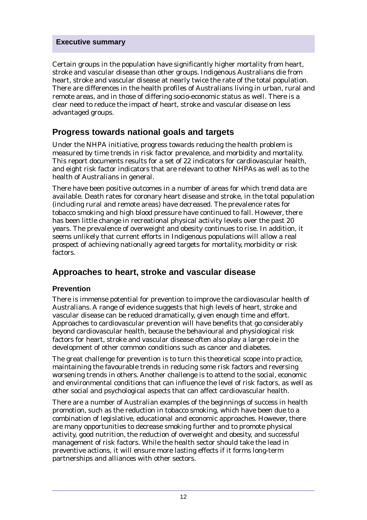Certain groups in the population have significantly higher mortality from heart, stroke and vascular disease than other groups. Indigenous Australians die from heart, stroke and vascular disease at nearly twice the rate of the total population. There are differences in the health profiles of Australians living in urban, rural and remote areas, and in those of differing socio-economic status as well. There is a clear need to reduce the impact of heart, stroke and vascular disease on less advantaged groups.

# **Progress towards national goals and targets**

Under the NHPA initiative, progress towards reducing the health problem is measured by time trends in risk factor prevalence, and morbidity and mortality. This report documents results for a set of 22 indicators for cardiovascular health, and eight risk factor indicators that are relevant to other NHPAs as well as to the health of Australians in general.

There have been positive outcomes in a number of areas for which trend data are available. Death rates for coronary heart disease and stroke, in the total population (including rural and remote areas) have decreased. The prevalence rates for tobacco smoking and high blood pressure have continued to fall. However, there has been little change in recreational physical activity levels over the past 20 years. The prevalence of overweight and obesity continues to rise. In addition, it seems unlikely that current efforts in Indigenous populations will allow a real prospect of achieving nationally agreed targets for mortality, morbidity or risk factors.

## **Approaches to heart, stroke and vascular disease**

#### **Prevention**

There is immense potential for prevention to improve the cardiovascular health of Australians. A range of evidence suggests that high levels of heart, stroke and vascular disease can be reduced dramatically, given enough time and effort. Approaches to cardiovascular prevention will have benefits that go considerably beyond cardiovascular health, because the behavioural and physiological risk factors for heart, stroke and vascular disease often also play a large role in the development of other common conditions such as cancer and diabetes.

The great challenge for prevention is to turn this theoretical scope into practice, maintaining the favourable trends in reducing some risk factors and reversing worsening trends in others. Another challenge is to attend to the social, economic and environmental conditions that can influence the level of risk factors, as well as other social and psychological aspects that can affect cardiovascular health.

There are a number of Australian examples of the beginnings of success in health promotion, such as the reduction in tobacco smoking, which have been due to a combination of legislative, educational and economic approaches. However, there are many opportunities to decrease smoking further and to promote physical activity, good nutrition, the reduction of overweight and obesity, and successful management of risk factors. While the health sector should take the lead in preventive actions, it will ensure more lasting effects if it forms long-term partnerships and alliances with other sectors.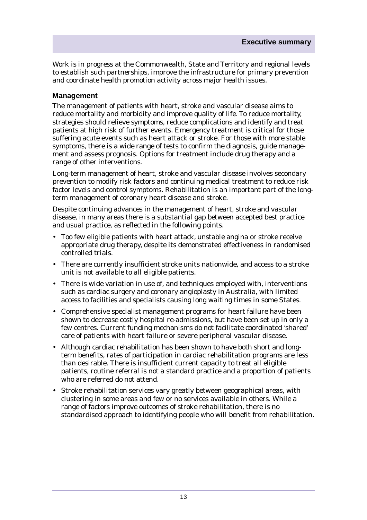Work is in progress at the Commonwealth, State and Territory and regional levels to establish such partnerships, improve the infrastructure for primary prevention and coordinate health promotion activity across major health issues.

#### **Management**

The management of patients with heart, stroke and vascular disease aims to reduce mortality and morbidity and improve quality of life. To reduce mortality, strategies should relieve symptoms, reduce complications and identify and treat patients at high risk of further events. Emergency treatment is critical for those suffering acute events such as heart attack or stroke. For those with more stable symptoms, there is a wide range of tests to confirm the diagnosis, guide management and assess prognosis. Options for treatment include drug therapy and a range of other interventions.

Long-term management of heart, stroke and vascular disease involves secondary prevention to modify risk factors and continuing medical treatment to reduce risk factor levels and control symptoms. Rehabilitation is an important part of the longterm management of coronary heart disease and stroke.

Despite continuing advances in the management of heart, stroke and vascular disease, in many areas there is a substantial gap between accepted best practice and usual practice, as reflected in the following points.

- Too few eligible patients with heart attack, unstable angina or stroke receive appropriate drug therapy, despite its demonstrated effectiveness in randomised controlled trials.
- There are currently insufficient stroke units nationwide, and access to a stroke unit is not available to all eligible patients.
- There is wide variation in use of, and techniques employed with, interventions such as cardiac surgery and coronary angioplasty in Australia, with limited access to facilities and specialists causing long waiting times in some States.
- Comprehensive specialist management programs for heart failure have been shown to decrease costly hospital re-admissions, but have been set up in only a few centres. Current funding mechanisms do not facilitate coordinated 'shared' care of patients with heart failure or severe peripheral vascular disease.
- Although cardiac rehabilitation has been shown to have both short and longterm benefits, rates of participation in cardiac rehabilitation programs are less than desirable. There is insufficient current capacity to treat all eligible patients, routine referral is not a standard practice and a proportion of patients who are referred do not attend.
- Stroke rehabilitation services vary greatly between geographical areas, with clustering in some areas and few or no services available in others. While a range of factors improve outcomes of stroke rehabilitation, there is no standardised approach to identifying people who will benefit from rehabilitation.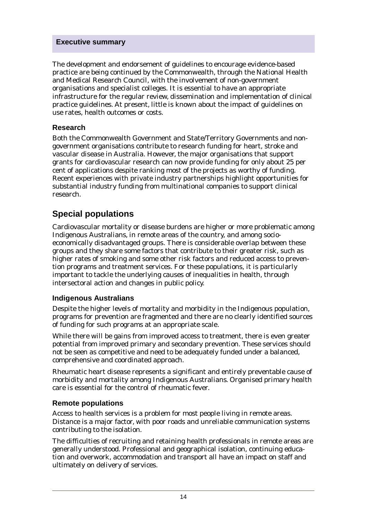The development and endorsement of guidelines to encourage evidence-based practice are being continued by the Commonwealth, through the National Health and Medical Research Council, with the involvement of non-government organisations and specialist colleges. It is essential to have an appropriate infrastructure for the regular review, dissemination and implementation of clinical practice guidelines. At present, little is known about the impact of guidelines on use rates, health outcomes or costs.

#### **Research**

Both the Commonwealth Government and State/Territory Governments and nongovernment organisations contribute to research funding for heart, stroke and vascular disease in Australia. However, the major organisations that support grants for cardiovascular research can now provide funding for only about 25 per cent of applications despite ranking most of the projects as worthy of funding. Recent experiences with private industry partnerships highlight opportunities for substantial industry funding from multinational companies to support clinical research.

## **Special populations**

Cardiovascular mortality or disease burdens are higher or more problematic among Indigenous Australians, in remote areas of the country, and among socioeconomically disadvantaged groups. There is considerable overlap between these groups and they share some factors that contribute to their greater risk, such as higher rates of smoking and some other risk factors and reduced access to prevention programs and treatment services. For these populations, it is particularly important to tackle the underlying causes of inequalities in health, through intersectoral action and changes in public policy.

#### **Indigenous Australians**

Despite the higher levels of mortality and morbidity in the Indigenous population, programs for prevention are fragmented and there are no clearly identified sources of funding for such programs at an appropriate scale.

While there will be gains from improved access to treatment, there is even greater potential from improved primary and secondary prevention. These services should not be seen as competitive and need to be adequately funded under a balanced, comprehensive and coordinated approach.

Rheumatic heart disease represents a significant and entirely preventable cause of morbidity and mortality among Indigenous Australians. Organised primary health care is essential for the control of rheumatic fever.

#### **Remote populations**

Access to health services is a problem for most people living in remote areas. Distance is a major factor, with poor roads and unreliable communication systems contributing to the isolation.

The difficulties of recruiting and retaining health professionals in remote areas are generally understood. Professional and geographical isolation, continuing education and overwork, accommodation and transport all have an impact on staff and ultimately on delivery of services.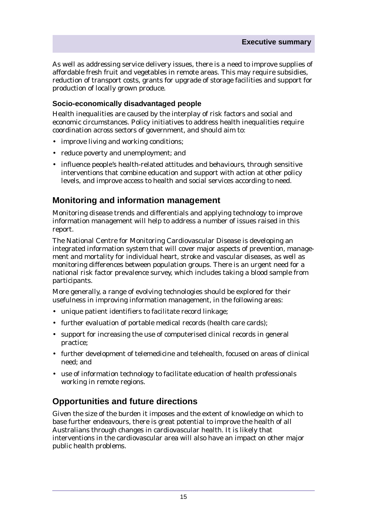As well as addressing service delivery issues, there is a need to improve supplies of affordable fresh fruit and vegetables in remote areas. This may require subsidies, reduction of transport costs, grants for upgrade of storage facilities and support for production of locally grown produce.

#### **Socio-economically disadvantaged people**

Health inequalities are caused by the interplay of risk factors and social and economic circumstances. Policy initiatives to address health inequalities require coordination across sectors of government, and should aim to:

- improve living and working conditions;
- reduce poverty and unemployment; and
- influence people's health-related attitudes and behaviours, through sensitive interventions that combine education and support with action at other policy levels, and improve access to health and social services according to need.

# **Monitoring and information management**

Monitoring disease trends and differentials and applying technology to improve information management will help to address a number of issues raised in this report.

The National Centre for Monitoring Cardiovascular Disease is developing an integrated information system that will cover major aspects of prevention, management and mortality for individual heart, stroke and vascular diseases, as well as monitoring differences between population groups. There is an urgent need for a national risk factor prevalence survey, which includes taking a blood sample from participants.

More generally, a range of evolving technologies should be explored for their usefulness in improving information management, in the following areas:

- unique patient identifiers to facilitate record linkage;
- further evaluation of portable medical records (health care cards);
- support for increasing the use of computerised clinical records in general practice;
- further development of telemedicine and telehealth, focused on areas of clinical need; and
- use of information technology to facilitate education of health professionals working in remote regions.

# **Opportunities and future directions**

Given the size of the burden it imposes and the extent of knowledge on which to base further endeavours, there is great potential to improve the health of all Australians through changes in cardiovascular health. It is likely that interventions in the cardiovascular area will also have an impact on other major public health problems.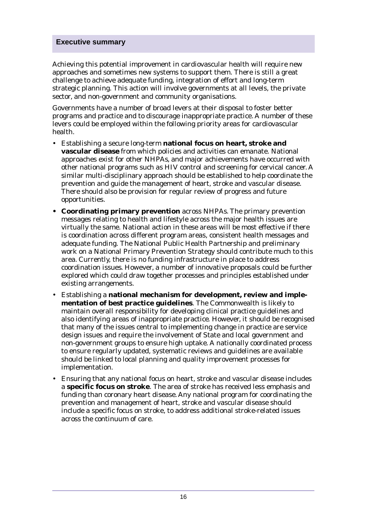Achieving this potential improvement in cardiovascular health will require new approaches and sometimes new systems to support them. There is still a great challenge to achieve adequate funding, integration of effort and long-term strategic planning. This action will involve governments at all levels, the private sector, and non-government and community organisations.

Governments have a number of broad levers at their disposal to foster better programs and practice and to discourage inappropriate practice. A number of these levers could be employed within the following priority areas for cardiovascular health.

- Establishing a secure long-term **national focus on heart, stroke and vascular disease** from which policies and activities can emanate. National approaches exist for other NHPAs, and major achievements have occurred with other national programs such as HIV control and screening for cervical cancer. A similar multi-disciplinary approach should be established to help coordinate the prevention and guide the management of heart, stroke and vascular disease. There should also be provision for regular review of progress and future opportunities.
- **Coordinating primary prevention** across NHPAs. The primary prevention messages relating to health and lifestyle across the major health issues are virtually the same. National action in these areas will be most effective if there is coordination across different program areas, consistent health messages and adequate funding. The National Public Health Partnership and preliminary work on a National Primary Prevention Strategy should contribute much to this area. Currently, there is no funding infrastructure in place to address coordination issues. However, a number of innovative proposals could be further explored which could draw together processes and principles established under existing arrangements.
- Establishing a **national mechanism for development, review and implementation of best practice guidelines***.* The Commonwealth is likely to maintain overall responsibility for developing clinical practice guidelines and also identifying areas of inappropriate practice. However, it should be recognised that many of the issues central to implementing change in practice are service design issues and require the involvement of State and local government and non-government groups to ensure high uptake. A nationally coordinated process to ensure regularly updated, systematic reviews and guidelines are available should be linked to local planning and quality improvement processes for implementation.
- Ensuring that any national focus on heart, stroke and vascular disease includes a **specific focus on stroke**. The area of stroke has received less emphasis and funding than coronary heart disease. Any national program for coordinating the prevention and management of heart, stroke and vascular disease should include a specific focus on stroke, to address additional stroke-related issues across the continuum of care.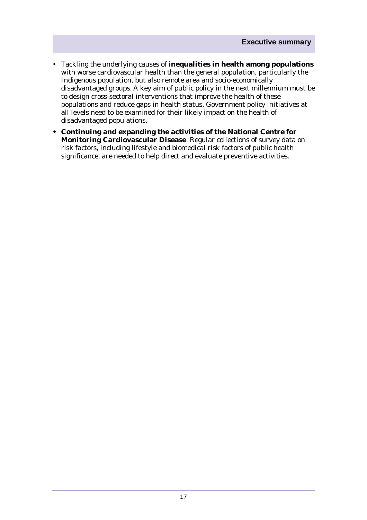- Tackling the underlying causes of **inequalities in health among populations** with worse cardiovascular health than the general population, particularly the Indigenous population, but also remote area and socio-economically disadvantaged groups. A key aim of public policy in the next millennium must be to design cross-sectoral interventions that improve the health of these populations and reduce gaps in health status. Government policy initiatives at all levels need to be examined for their likely impact on the health of disadvantaged populations.
- **Continuing and expanding the activities of the National Centre for Monitoring Cardiovascular Disease**. Regular collections of survey data on risk factors, including lifestyle and biomedical risk factors of public health significance, are needed to help direct and evaluate preventive activities.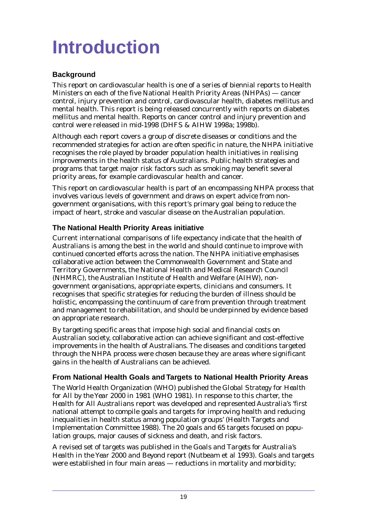# <span id="page-18-0"></span>**Introduction**

### **Background**

This report on cardiovascular health is one of a series of biennial reports to Health Ministers on each of the five National Health Priority Areas (NHPAs) — cancer control, injury prevention and control, cardiovascular health, diabetes mellitus and mental health. This report is being released concurrently with reports on diabetes mellitus and mental health. Reports on cancer control and injury prevention and control were released in mid-1998 (DHFS & AIHW 1998a; 1998b).

Although each report covers a group of discrete diseases or conditions and the recommended strategies for action are often specific in nature, the NHPA initiative recognises the role played by broader population health initiatives in realising improvements in the health status of Australians. Public health strategies and programs that target major risk factors such as smoking may benefit several priority areas, for example cardiovascular health and cancer.

This report on cardiovascular health is part of an encompassing NHPA process that involves various levels of government and draws on expert advice from nongovernment organisations, with this report's primary goal being to reduce the impact of heart, stroke and vascular disease on the Australian population.

### **The National Health Priority Areas initiative**

Current international comparisons of life expectancy indicate that the health of Australians is among the best in the world and should continue to improve with continued concerted efforts across the nation. The NHPA initiative emphasises collaborative action between the Commonwealth Government and State and Territory Governments, the National Health and Medical Research Council (NHMRC), the Australian Institute of Health and Welfare (AIHW), nongovernment organisations, appropriate experts, clinicians and consumers. It recognises that specific strategies for reducing the burden of illness should be holistic, encompassing the continuum of care from prevention through treatment and management to rehabilitation, and should be underpinned by evidence based on appropriate research.

By targeting specific areas that impose high social and financial costs on Australian society, collaborative action can achieve significant and cost-effective improvements in the health of Australians. The diseases and conditions targeted through the NHPA process were chosen because they are areas where significant gains in the health of Australians can be achieved.

### **From National Health Goals and Targets to National Health Priority Areas**

The World Health Organization (WHO) published the *Global Strategy for Health for All by the Year 2000* in 1981 (WHO 1981). In response to this charter, the *Health for All Australians* report was developed and represented Australia's 'first national attempt to compile goals and targets for improving health and reducing inequalities in health status among population groups' (Health Targets and Implementation Committee 1988). The 20 goals and 65 targets focused on population groups, major causes of sickness and death, and risk factors.

A revised set of targets was published in the *Goals and Targets for Australia's Health in the Year 2000 and Beyond* report (Nutbeam et al 1993). Goals and targets were established in four main areas — reductions in mortality and morbidity;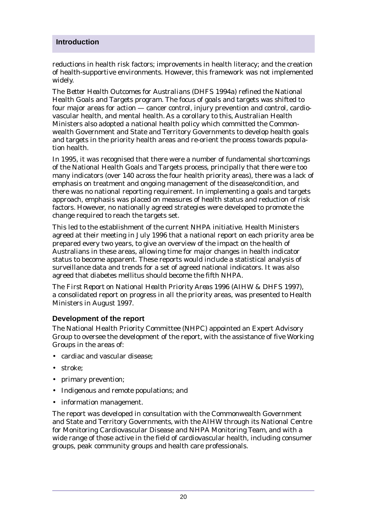#### **Introduction**

reductions in health risk factors; improvements in health literacy; and the creation of health-supportive environments. However, this framework was not implemented widely.

The *Better Health Outcomes for Australians* (DHFS 1994a) refined the National Health Goals and Targets program. The focus of goals and targets was shifted to four major areas for action — cancer control, injury prevention and control, cardiovascular health, and mental health. As a corollary to this, Australian Health Ministers also adopted a national health policy which committed the Commonwealth Government and State and Territory Governments to develop health goals and targets in the priority health areas and re-orient the process towards population health.

In 1995, it was recognised that there were a number of fundamental shortcomings of the National Health Goals and Targets process, principally that there were too many indicators (over 140 across the four health priority areas), there was a lack of emphasis on treatment and ongoing management of the disease/condition, and there was no national reporting requirement. In implementing a goals and targets approach, emphasis was placed on measures of health status and reduction of risk factors. However, no nationally agreed strategies were developed to promote the change required to reach the targets set.

This led to the establishment of the current NHPA initiative. Health Ministers agreed at their meeting in July 1996 that a national report on each priority area be prepared every two years, to give an overview of the impact on the health of Australians in these areas, allowing time for major changes in health indicator status to become apparent. These reports would include a statistical analysis of surveillance data and trends for a set of agreed national indicators. It was also agreed that diabetes mellitus should become the fifth NHPA.

The *First Report on National Health Priority Areas 1996* (AIHW & DHFS 1997), a consolidated report on progress in all the priority areas, was presented to Health Ministers in August 1997.

#### **Development of the report**

The National Health Priority Committee (NHPC) appointed an Expert Advisory Group to oversee the development of the report, with the assistance of five Working Groups in the areas of:

- cardiac and vascular disease;
- stroke;
- primary prevention;
- Indigenous and remote populations; and
- information management.

The report was developed in consultation with the Commonwealth Government and State and Territory Governments, with the AIHW through its National Centre for Monitoring Cardiovascular Disease and NHPA Monitoring Team, and with a wide range of those active in the field of cardiovascular health, including consumer groups, peak community groups and health care professionals.